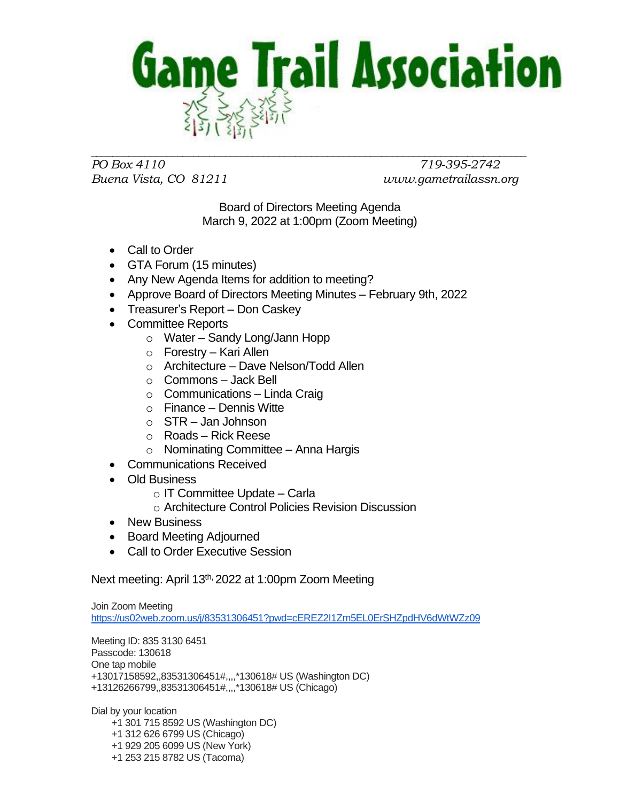

*PO Box 4110 719-395-2742 Buena Vista, CO 81211 www.gametrailassn.org*

Board of Directors Meeting Agenda March 9, 2022 at 1:00pm (Zoom Meeting)

- Call to Order
- GTA Forum (15 minutes)
- Any New Agenda Items for addition to meeting?
- Approve Board of Directors Meeting Minutes February 9th, 2022
- Treasurer's Report Don Caskey
- Committee Reports
	- o Water Sandy Long/Jann Hopp
	- o Forestry Kari Allen
	- o Architecture Dave Nelson/Todd Allen
	- o Commons Jack Bell
	- $\circ$  Communications Linda Craig
	- o Finance Dennis Witte
	- $\circ$  STR Jan Johnson
	- o Roads Rick Reese
	- $\circ$  Nominating Committee Anna Hargis
	- Communications Received
- Old Business
	- o IT Committee Update Carla
	- o Architecture Control Policies Revision Discussion
- New Business
- Board Meeting Adjourned
- Call to Order Executive Session

Next meeting: April 13<sup>th,</sup> 2022 at 1:00pm Zoom Meeting

Join Zoom Meeting <https://us02web.zoom.us/j/83531306451?pwd=cEREZ2I1Zm5EL0ErSHZpdHV6dWtWZz09>

Meeting ID: 835 3130 6451 Passcode: 130618 One tap mobile +13017158592,,83531306451#,,,,\*130618# US (Washington DC) +13126266799,,83531306451#,,,,\*130618# US (Chicago)

Dial by your location +1 301 715 8592 US (Washington DC) +1 312 626 6799 US (Chicago) +1 929 205 6099 US (New York) +1 253 215 8782 US (Tacoma)